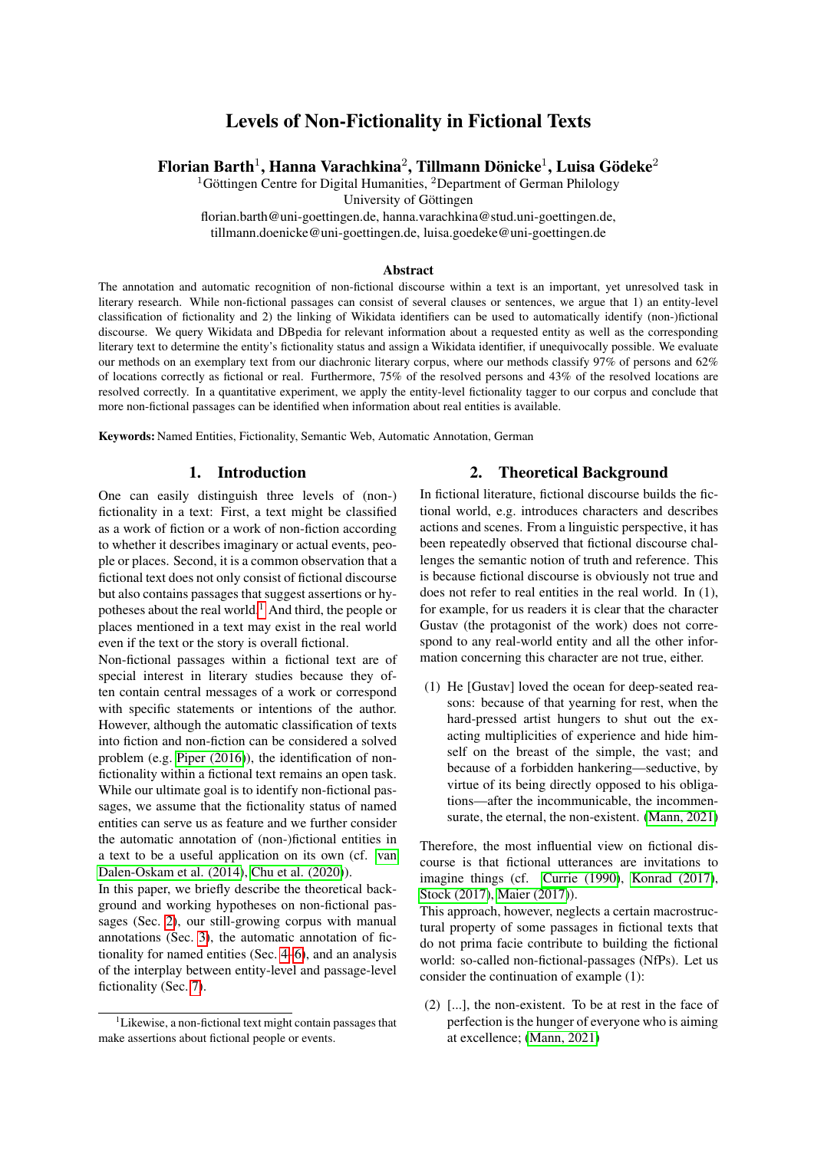# Levels of Non-Fictionality in Fictional Texts

## Florian Barth $^1$ , Hanna Varachkina $^2$ , Tillmann Dönicke $^1$ , Luisa Gödeke $^2$

<sup>1</sup>Göttingen Centre for Digital Humanities,  ${}^{2}$ Department of German Philology

University of Göttingen

florian.barth@uni-goettingen.de, hanna.varachkina@stud.uni-goettingen.de, tillmann.doenicke@uni-goettingen.de, luisa.goedeke@uni-goettingen.de

#### Abstract

The annotation and automatic recognition of non-fictional discourse within a text is an important, yet unresolved task in literary research. While non-fictional passages can consist of several clauses or sentences, we argue that 1) an entity-level classification of fictionality and 2) the linking of Wikidata identifiers can be used to automatically identify (non-)fictional discourse. We query Wikidata and DBpedia for relevant information about a requested entity as well as the corresponding literary text to determine the entity's fictionality status and assign a Wikidata identifier, if unequivocally possible. We evaluate our methods on an exemplary text from our diachronic literary corpus, where our methods classify 97% of persons and 62% of locations correctly as fictional or real. Furthermore, 75% of the resolved persons and 43% of the resolved locations are resolved correctly. In a quantitative experiment, we apply the entity-level fictionality tagger to our corpus and conclude that more non-fictional passages can be identified when information about real entities is available.

Keywords: Named Entities, Fictionality, Semantic Web, Automatic Annotation, German

## 1. Introduction

One can easily distinguish three levels of (non-) fictionality in a text: First, a text might be classified as a work of fiction or a work of non-fiction according to whether it describes imaginary or actual events, people or places. Second, it is a common observation that a fictional text does not only consist of fictional discourse but also contains passages that suggest assertions or hypotheses about the real world.[1](#page-0-0) And third, the people or places mentioned in a text may exist in the real world even if the text or the story is overall fictional.

Non-fictional passages within a fictional text are of special interest in literary studies because they often contain central messages of a work or correspond with specific statements or intentions of the author. However, although the automatic classification of texts into fiction and non-fiction can be considered a solved problem (e.g. [Piper \(2016\)](#page-5-0)), the identification of nonfictionality within a fictional text remains an open task. While our ultimate goal is to identify non-fictional passages, we assume that the fictionality status of named entities can serve us as feature and we further consider the automatic annotation of (non-)fictional entities in a text to be a useful application on its own (cf. [van](#page-5-1) [Dalen-Oskam et al. \(2014\)](#page-5-1), [Chu et al. \(2020\)](#page-4-0)).

In this paper, we briefly describe the theoretical background and working hypotheses on non-fictional passages (Sec. [2\)](#page-0-1), our still-growing corpus with manual annotations (Sec. [3\)](#page-1-0), the automatic annotation of fictionality for named entities (Sec. [4–](#page-1-1)[6\)](#page-2-0), and an analysis of the interplay between entity-level and passage-level fictionality (Sec. [7\)](#page-3-0).

## 2. Theoretical Background

<span id="page-0-1"></span>In fictional literature, fictional discourse builds the fictional world, e.g. introduces characters and describes actions and scenes. From a linguistic perspective, it has been repeatedly observed that fictional discourse challenges the semantic notion of truth and reference. This is because fictional discourse is obviously not true and does not refer to real entities in the real world. In (1), for example, for us readers it is clear that the character Gustav (the protagonist of the work) does not correspond to any real-world entity and all the other information concerning this character are not true, either.

(1) He [Gustav] loved the ocean for deep-seated reasons: because of that yearning for rest, when the hard-pressed artist hungers to shut out the exacting multiplicities of experience and hide himself on the breast of the simple, the vast; and because of a forbidden hankering—seductive, by virtue of its being directly opposed to his obligations—after the incommunicable, the incommensurate, the eternal, the non-existent. [\(Mann, 2021\)](#page-5-2)

Therefore, the most influential view on fictional discourse is that fictional utterances are invitations to imagine things (cf. [Currie \(1990\)](#page-4-1), [Konrad \(2017\)](#page-5-3), [Stock \(2017\)](#page-5-4), [Maier \(2017\)](#page-5-5)).

This approach, however, neglects a certain macrostructural property of some passages in fictional texts that do not prima facie contribute to building the fictional world: so-called non-fictional-passages (NfPs). Let us consider the continuation of example (1):

(2) [...], the non-existent. To be at rest in the face of perfection is the hunger of everyone who is aiming at excellence; [\(Mann, 2021\)](#page-5-2)

<span id="page-0-0"></span> ${}^{1}$ Likewise, a non-fictional text might contain passages that make assertions about fictional people or events.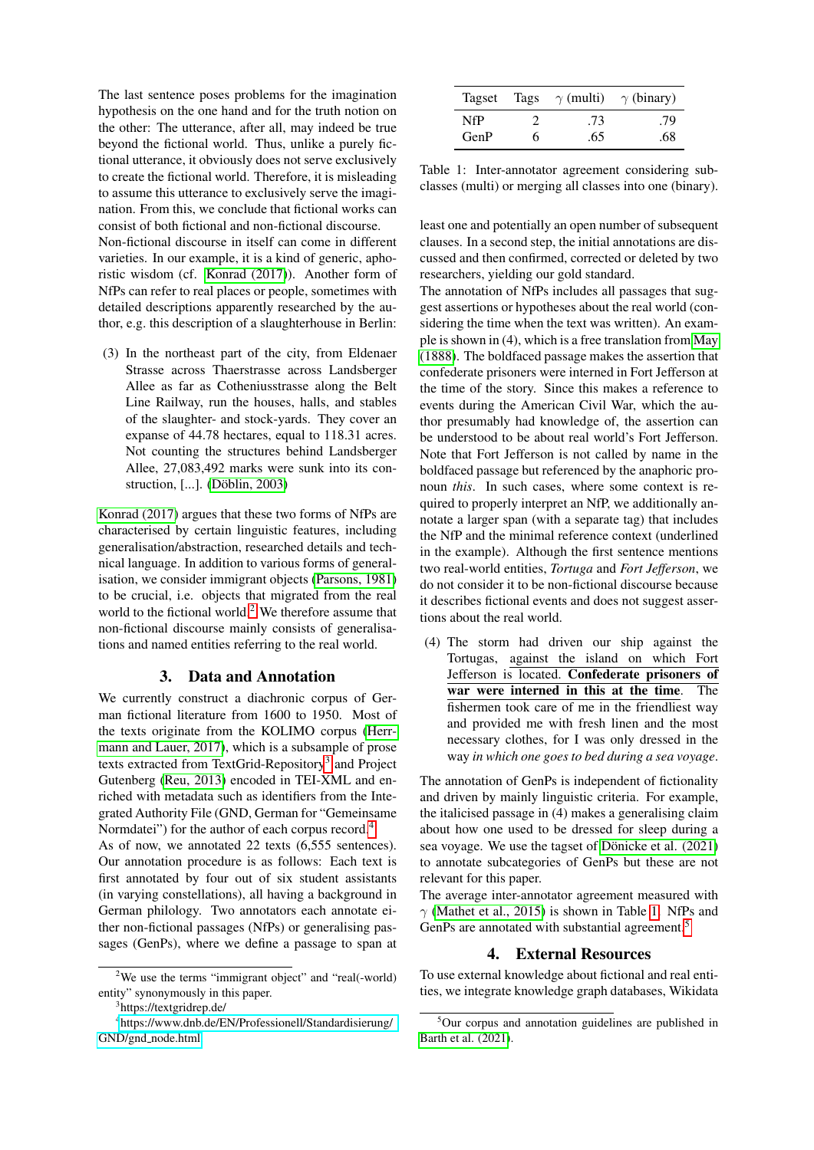The last sentence poses problems for the imagination hypothesis on the one hand and for the truth notion on the other: The utterance, after all, may indeed be true beyond the fictional world. Thus, unlike a purely fictional utterance, it obviously does not serve exclusively to create the fictional world. Therefore, it is misleading to assume this utterance to exclusively serve the imagination. From this, we conclude that fictional works can consist of both fictional and non-fictional discourse.

Non-fictional discourse in itself can come in different varieties. In our example, it is a kind of generic, aphoristic wisdom (cf. [Konrad \(2017\)](#page-5-3)). Another form of NfPs can refer to real places or people, sometimes with detailed descriptions apparently researched by the author, e.g. this description of a slaughterhouse in Berlin:

(3) In the northeast part of the city, from Eldenaer Strasse across Thaerstrasse across Landsberger Allee as far as Cotheniusstrasse along the Belt Line Railway, run the houses, halls, and stables of the slaughter- and stock-yards. They cover an expanse of 44.78 hectares, equal to 118.31 acres. Not counting the structures behind Landsberger Allee, 27,083,492 marks were sunk into its construction, [...]. (Döblin, 2003)

[Konrad \(2017\)](#page-5-3) argues that these two forms of NfPs are characterised by certain linguistic features, including generalisation/abstraction, researched details and technical language. In addition to various forms of generalisation, we consider immigrant objects [\(Parsons, 1981\)](#page-5-6) to be crucial, i.e. objects that migrated from the real world to the fictional world.<sup>[2](#page-1-2)</sup> We therefore assume that non-fictional discourse mainly consists of generalisations and named entities referring to the real world.

#### 3. Data and Annotation

<span id="page-1-0"></span>We currently construct a diachronic corpus of German fictional literature from 1600 to 1950. Most of the texts originate from the KOLIMO corpus [\(Herr](#page-5-7)[mann and Lauer, 2017\)](#page-5-7), which is a subsample of prose texts extracted from TextGrid-Repository<sup>[3](#page-1-3)</sup> and Project Gutenberg [\(Reu, 2013\)](#page-5-8) encoded in TEI-XML and enriched with metadata such as identifiers from the Integrated Authority File (GND, German for "Gemeinsame Normdatei") for the author of each corpus record.<sup>[4](#page-1-4)</sup>

As of now, we annotated 22 texts (6,555 sentences). Our annotation procedure is as follows: Each text is first annotated by four out of six student assistants (in varying constellations), all having a background in German philology. Two annotators each annotate either non-fictional passages (NfPs) or generalising passages (GenPs), where we define a passage to span at

|      |   | Tagset Tags $\gamma$ (multi) $\gamma$ (binary) |     |
|------|---|------------------------------------------------|-----|
| NfP  |   | .73                                            | .79 |
| GenP | 6 | .65                                            | .68 |

<span id="page-1-5"></span>Table 1: Inter-annotator agreement considering subclasses (multi) or merging all classes into one (binary).

least one and potentially an open number of subsequent clauses. In a second step, the initial annotations are discussed and then confirmed, corrected or deleted by two researchers, yielding our gold standard.

The annotation of NfPs includes all passages that suggest assertions or hypotheses about the real world (considering the time when the text was written). An example is shown in (4), which is a free translation from [May](#page-5-9) [\(1888\)](#page-5-9). The boldfaced passage makes the assertion that confederate prisoners were interned in Fort Jefferson at the time of the story. Since this makes a reference to events during the American Civil War, which the author presumably had knowledge of, the assertion can be understood to be about real world's Fort Jefferson. Note that Fort Jefferson is not called by name in the boldfaced passage but referenced by the anaphoric pronoun *this*. In such cases, where some context is required to properly interpret an NfP, we additionally annotate a larger span (with a separate tag) that includes the NfP and the minimal reference context (underlined in the example). Although the first sentence mentions two real-world entities, *Tortuga* and *Fort Jefferson*, we do not consider it to be non-fictional discourse because it describes fictional events and does not suggest assertions about the real world.

(4) The storm had driven our ship against the Tortugas, against the island on which Fort Jefferson is located. Confederate prisoners of war were interned in this at the time. The fishermen took care of me in the friendliest way and provided me with fresh linen and the most necessary clothes, for I was only dressed in the way *in which one goes to bed during a sea voyage*.

The annotation of GenPs is independent of fictionality and driven by mainly linguistic criteria. For example, the italicised passage in (4) makes a generalising claim about how one used to be dressed for sleep during a sea voyage. We use the tagset of Dönicke et al.  $(2021)$ to annotate subcategories of GenPs but these are not relevant for this paper.

The average inter-annotator agreement measured with  $\gamma$  [\(Mathet et al., 2015\)](#page-5-10) is shown in Table [1.](#page-1-5) NfPs and GenPs are annotated with substantial agreement.<sup>[5](#page-1-6)</sup>

## 4. External Resources

<span id="page-1-1"></span>To use external knowledge about fictional and real entities, we integrate knowledge graph databases, Wikidata

<span id="page-1-2"></span><sup>&</sup>lt;sup>2</sup>We use the terms "immigrant object" and "real(-world) entity" synonymously in this paper.

<span id="page-1-4"></span><span id="page-1-3"></span><sup>&</sup>lt;sup>3</sup>https://textgridrep.de/

<sup>4</sup> [https://www.dnb.de/EN/Professionell/Standardisierung/](https://www.dnb.de/EN/Professionell/Standardisierung/GND/gnd_node.html) GND/gnd\_[node.html.](https://www.dnb.de/EN/Professionell/Standardisierung/GND/gnd_node.html)

<span id="page-1-6"></span> $5$ Our corpus and annotation guidelines are published in [Barth et al. \(2021\)](#page-4-4).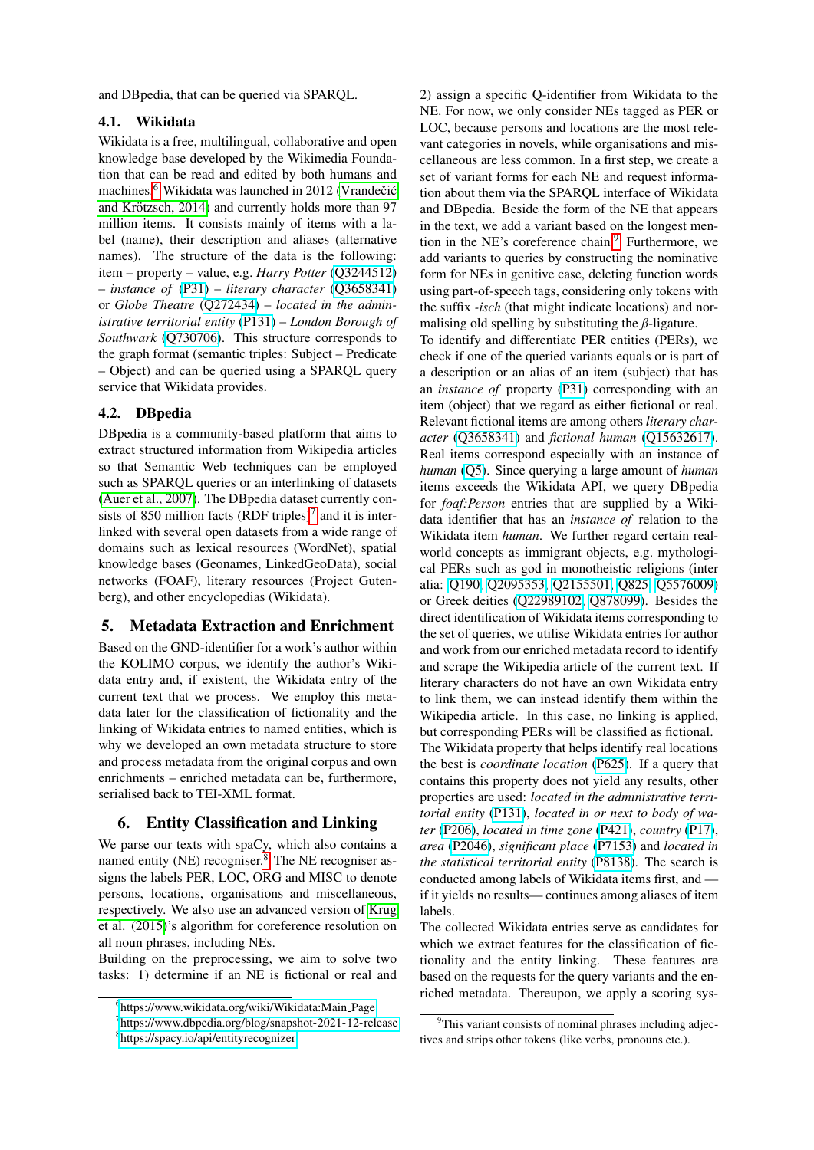and DBpedia, that can be queried via SPARQL.

#### 4.1. Wikidata

Wikidata is a free, multilingual, collaborative and open knowledge base developed by the Wikimedia Foundation that can be read and edited by both humans and machines.<sup>[6](#page-2-1)</sup> Wikidata was launched in 2012 (Vrandečić and Krötzsch, 2014) and currently holds more than 97 million items. It consists mainly of items with a label (name), their description and aliases (alternative names). The structure of the data is the following: item – property – value, e.g. *Harry Potter* [\(Q3244512\)](https://www.wikidata.org/wiki/Q3244512) – *instance of* [\(P31\)](https://www.wikidata.org/wiki/Property:P31) – *literary character* [\(Q3658341\)](https://www.wikidata.org/wiki/Q3658341) or *Globe Theatre* [\(Q272434\)](https://www.wikidata.org/wiki/Q272434) – *located in the administrative territorial entity* [\(P131\)](https://www.wikidata.org/wiki/Property:P131) – *London Borough of Southwark* [\(Q730706\)](https://www.wikidata.org/wiki/Q730706). This structure corresponds to the graph format (semantic triples: Subject – Predicate – Object) and can be queried using a SPARQL query service that Wikidata provides.

## 4.2. DBpedia

DBpedia is a community-based platform that aims to extract structured information from Wikipedia articles so that Semantic Web techniques can be employed such as SPARQL queries or an interlinking of datasets [\(Auer et al., 2007\)](#page-4-5). The DBpedia dataset currently consists of 850 million facts  $(RDF$  triples)<sup>[7](#page-2-2)</sup> and it is interlinked with several open datasets from a wide range of domains such as lexical resources (WordNet), spatial knowledge bases (Geonames, LinkedGeoData), social networks (FOAF), literary resources (Project Gutenberg), and other encyclopedias (Wikidata).

## 5. Metadata Extraction and Enrichment

Based on the GND-identifier for a work's author within the KOLIMO corpus, we identify the author's Wikidata entry and, if existent, the Wikidata entry of the current text that we process. We employ this metadata later for the classification of fictionality and the linking of Wikidata entries to named entities, which is why we developed an own metadata structure to store and process metadata from the original corpus and own enrichments – enriched metadata can be, furthermore, serialised back to TEI-XML format.

## <span id="page-2-0"></span>6. Entity Classification and Linking

We parse our texts with spaCy, which also contains a named entity (NE) recogniser. $8$  The NE recogniser assigns the labels PER, LOC, ORG and MISC to denote persons, locations, organisations and miscellaneous, respectively. We also use an advanced version of [Krug](#page-5-12) [et al. \(2015\)](#page-5-12)'s algorithm for coreference resolution on all noun phrases, including NEs.

Building on the preprocessing, we aim to solve two tasks: 1) determine if an NE is fictional or real and

2) assign a specific Q-identifier from Wikidata to the NE. For now, we only consider NEs tagged as PER or LOC, because persons and locations are the most relevant categories in novels, while organisations and miscellaneous are less common. In a first step, we create a set of variant forms for each NE and request information about them via the SPARQL interface of Wikidata and DBpedia. Beside the form of the NE that appears in the text, we add a variant based on the longest men-tion in the NE's coreference chain.<sup>[9](#page-2-4)</sup> Furthermore, we add variants to queries by constructing the nominative form for NEs in genitive case, deleting function words using part-of-speech tags, considering only tokens with the suffix *-isch* (that might indicate locations) and normalising old spelling by substituting the *ß*-ligature.

To identify and differentiate PER entities (PERs), we check if one of the queried variants equals or is part of a description or an alias of an item (subject) that has an *instance of* property [\(P31\)](https://www.wikidata.org/wiki/Property:P31) corresponding with an item (object) that we regard as either fictional or real. Relevant fictional items are among others *literary character* [\(Q3658341\)](https://www.wikidata.org/wiki/Q3658341) and *fictional human* [\(Q15632617\)](https://www.wikidata.org/wiki/Q15632617). Real items correspond especially with an instance of *human* [\(Q5\)](https://www.wikidata.org/wiki/Q5). Since querying a large amount of *human* items exceeds the Wikidata API, we query DBpedia for *foaf:Person* entries that are supplied by a Wikidata identifier that has an *instance of* relation to the Wikidata item *human*. We further regard certain realworld concepts as immigrant objects, e.g. mythological PERs such as god in monotheistic religions (inter alia: [Q190,](https://www.wikidata.org/wiki/Q190) [Q2095353,](https://www.wikidata.org/wiki/Q2095353) [Q2155501,](https://www.wikidata.org/wiki/Q2155501) [Q825,](https://www.wikidata.org/wiki/Q825) [Q5576009\)](https://www.wikidata.org/wiki/Q5576009) or Greek deities [\(Q22989102,](https://www.wikidata.org/wiki/Q22989102) [Q878099\)](https://www.wikidata.org/wiki/Q878099). Besides the direct identification of Wikidata items corresponding to the set of queries, we utilise Wikidata entries for author and work from our enriched metadata record to identify and scrape the Wikipedia article of the current text. If literary characters do not have an own Wikidata entry to link them, we can instead identify them within the Wikipedia article. In this case, no linking is applied, but corresponding PERs will be classified as fictional. The Wikidata property that helps identify real locations the best is *coordinate location* [\(P625\)](https://www.wikidata.org/wiki/Property:P625). If a query that contains this property does not yield any results, other properties are used: *located in the administrative territorial entity* [\(P131\)](https://www.wikidata.org/wiki/Property:P131), *located in or next to body of water* [\(P206\)](https://www.wikidata.org/wiki/Property:P206), *located in time zone* [\(P421\)](https://www.wikidata.org/wiki/Property:P421), *country* [\(P17\)](https://www.wikidata.org/wiki/Property:P17), *area* [\(P2046\)](https://www.wikidata.org/wiki/Property:P2046), *significant place* [\(P7153\)](https://www.wikidata.org/wiki/Property:P7153) and *located in the statistical territorial entity* [\(P8138\)](https://www.wikidata.org/wiki/Property:P8138). The search is conducted among labels of Wikidata items first, and if it yields no results— continues among aliases of item labels.

The collected Wikidata entries serve as candidates for which we extract features for the classification of fictionality and the entity linking. These features are based on the requests for the query variants and the enriched metadata. Thereupon, we apply a scoring sys-

<span id="page-2-1"></span><sup>6</sup> [https://www.wikidata.org/wiki/Wikidata:Main](https://www.wikidata.org/wiki/Wikidata:Main_Page) Page

<span id="page-2-3"></span><span id="page-2-2"></span><sup>7</sup> <https://www.dbpedia.org/blog/snapshot-2021-12-release> 8 <https://spacy.io/api/entityrecognizer>

<span id="page-2-4"></span> $9$ This variant consists of nominal phrases including adjectives and strips other tokens (like verbs, pronouns etc.).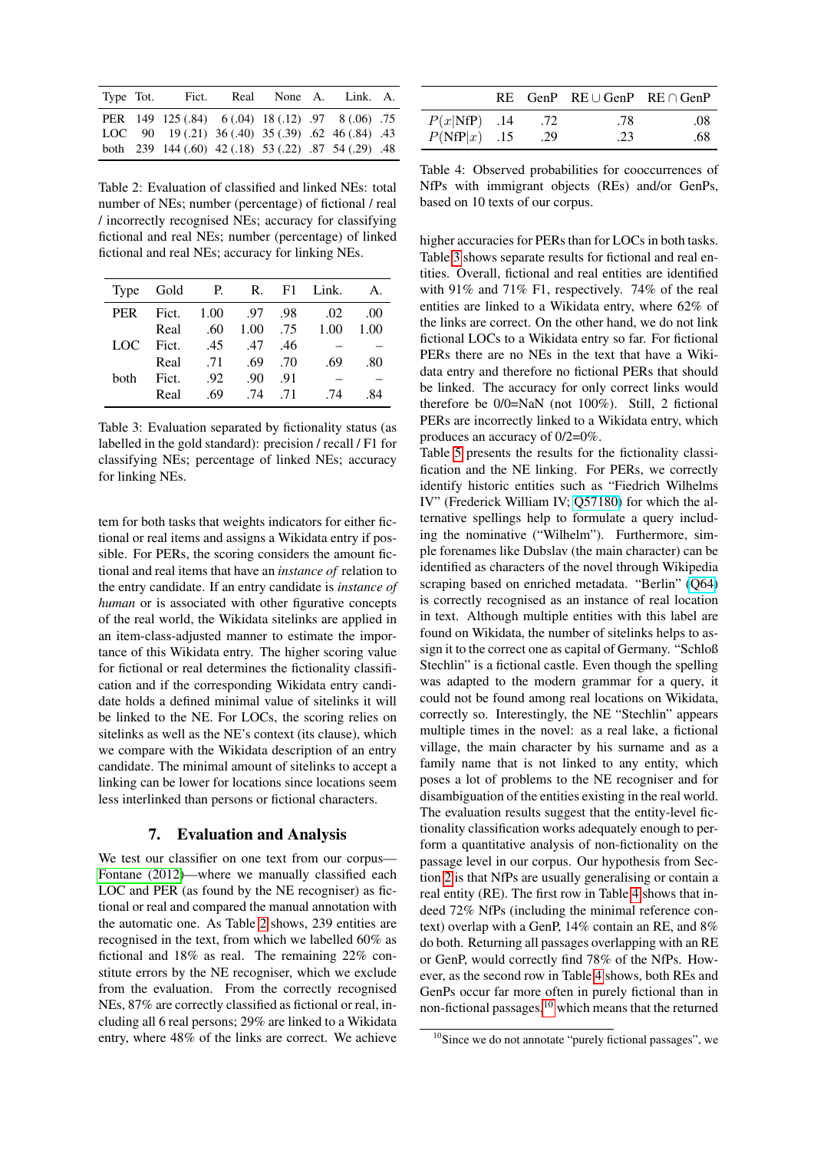| Type Tot. | Fict.                                                        | Real None A. | Link. A. |  |
|-----------|--------------------------------------------------------------|--------------|----------|--|
|           | PER 149 125 (.84) 6 (.04) 18 (.12) .97 8 (.06) .75           |              |          |  |
|           | LOC $90 \t19(.21) \t36(.40) \t35(.39) \t.62 \t46(.84) \t.43$ |              |          |  |
|           | both 239 144 (.60) 42 (.18) 53 (.22) .87 54 (.29) .48        |              |          |  |

<span id="page-3-1"></span>Table 2: Evaluation of classified and linked NEs: total number of NEs; number (percentage) of fictional / real / incorrectly recognised NEs; accuracy for classifying fictional and real NEs; number (percentage) of linked fictional and real NEs; accuracy for linking NEs.

|      |                   |                  |                   | Type Gold P. R. F1 Link. A.                      |     |
|------|-------------------|------------------|-------------------|--------------------------------------------------|-----|
|      |                   |                  |                   | PER Fict. 1.00 .97 .98 .02 .00                   |     |
|      | Real              |                  |                   | $.60 \quad 1.00 \quad .75 \quad 1.00 \quad 1.00$ |     |
| LOC  | Fict. .45 .47 .46 |                  |                   |                                                  |     |
|      |                   | Real .71 .69 .70 |                   | .69                                              | .80 |
| hoth | Fict.             | .92              | $.90 \quad .91$   |                                                  |     |
|      | Real              |                  | $.69$ $.74$ $.71$ | .74                                              | -84 |
|      |                   |                  |                   |                                                  |     |

<span id="page-3-2"></span>Table 3: Evaluation separated by fictionality status (as labelled in the gold standard): precision / recall / F1 for classifying NEs; percentage of linked NEs; accuracy for linking NEs.

tem for both tasks that weights indicators for either fictional or real items and assigns a Wikidata entry if possible. For PERs, the scoring considers the amount fictional and real items that have an *instance of* relation to the entry candidate. If an entry candidate is *instance of human* or is associated with other figurative concepts of the real world, the Wikidata sitelinks are applied in an item-class-adjusted manner to estimate the importance of this Wikidata entry. The higher scoring value for fictional or real determines the fictionality classification and if the corresponding Wikidata entry candidate holds a defined minimal value of sitelinks it will be linked to the NE. For LOCs, the scoring relies on sitelinks as well as the NE's context (its clause), which we compare with the Wikidata description of an entry candidate. The minimal amount of sitelinks to accept a linking can be lower for locations since locations seem less interlinked than persons or fictional characters.

## 7. Evaluation and Analysis

<span id="page-3-0"></span>We test our classifier on one text from our corpus— [Fontane \(2012\)](#page-4-6)—where we manually classified each LOC and PER (as found by the NE recogniser) as fictional or real and compared the manual annotation with the automatic one. As Table [2](#page-3-1) shows, 239 entities are recognised in the text, from which we labelled 60% as fictional and 18% as real. The remaining 22% constitute errors by the NE recogniser, which we exclude from the evaluation. From the correctly recognised NEs, 87% are correctly classified as fictional or real, including all 6 real persons; 29% are linked to a Wikidata entry, where 48% of the links are correct. We achieve

|                |     | $RE$ GenP $RE \cup GenP$ RE $\cap GenP$ |     |
|----------------|-----|-----------------------------------------|-----|
| $P(x NfP)$ .14 | .72 | .78                                     | .08 |
| $P(NfP x)$ .15 | .29 | .23                                     | .68 |

<span id="page-3-3"></span>Table 4: Observed probabilities for cooccurrences of NfPs with immigrant objects (REs) and/or GenPs, based on 10 texts of our corpus.

higher accuracies for PERs than for LOCs in both tasks. Table [3](#page-3-2) shows separate results for fictional and real entities. Overall, fictional and real entities are identified with 91% and 71% F1, respectively. 74% of the real entities are linked to a Wikidata entry, where 62% of the links are correct. On the other hand, we do not link fictional LOCs to a Wikidata entry so far. For fictional PERs there are no NEs in the text that have a Wikidata entry and therefore no fictional PERs that should be linked. The accuracy for only correct links would therefore be 0/0=NaN (not 100%). Still, 2 fictional PERs are incorrectly linked to a Wikidata entry, which produces an accuracy of 0/2=0%.

Table [5](#page-4-7) presents the results for the fictionality classification and the NE linking. For PERs, we correctly identify historic entities such as "Fiedrich Wilhelms IV" (Frederick William IV; [Q57180\)](https://www.wikidata.org/wiki/Q57180) for which the alternative spellings help to formulate a query including the nominative ("Wilhelm"). Furthermore, simple forenames like Dubslav (the main character) can be identified as characters of the novel through Wikipedia scraping based on enriched metadata. "Berlin" [\(Q64\)](https://www.wikidata.org/wiki/Q64) is correctly recognised as an instance of real location in text. Although multiple entities with this label are found on Wikidata, the number of sitelinks helps to assign it to the correct one as capital of Germany. "Schloß Stechlin" is a fictional castle. Even though the spelling was adapted to the modern grammar for a query, it could not be found among real locations on Wikidata, correctly so. Interestingly, the NE "Stechlin" appears multiple times in the novel: as a real lake, a fictional village, the main character by his surname and as a family name that is not linked to any entity, which poses a lot of problems to the NE recogniser and for disambiguation of the entities existing in the real world. The evaluation results suggest that the entity-level fictionality classification works adequately enough to perform a quantitative analysis of non-fictionality on the passage level in our corpus. Our hypothesis from Section [2](#page-0-1) is that NfPs are usually generalising or contain a real entity (RE). The first row in Table [4](#page-3-3) shows that indeed 72% NfPs (including the minimal reference context) overlap with a GenP, 14% contain an RE, and 8% do both. Returning all passages overlapping with an RE or GenP, would correctly find 78% of the NfPs. However, as the second row in Table [4](#page-3-3) shows, both REs and GenPs occur far more often in purely fictional than in non-fictional passages, $10$  which means that the returned

<span id="page-3-4"></span> $10$ Since we do not annotate "purely fictional passages", we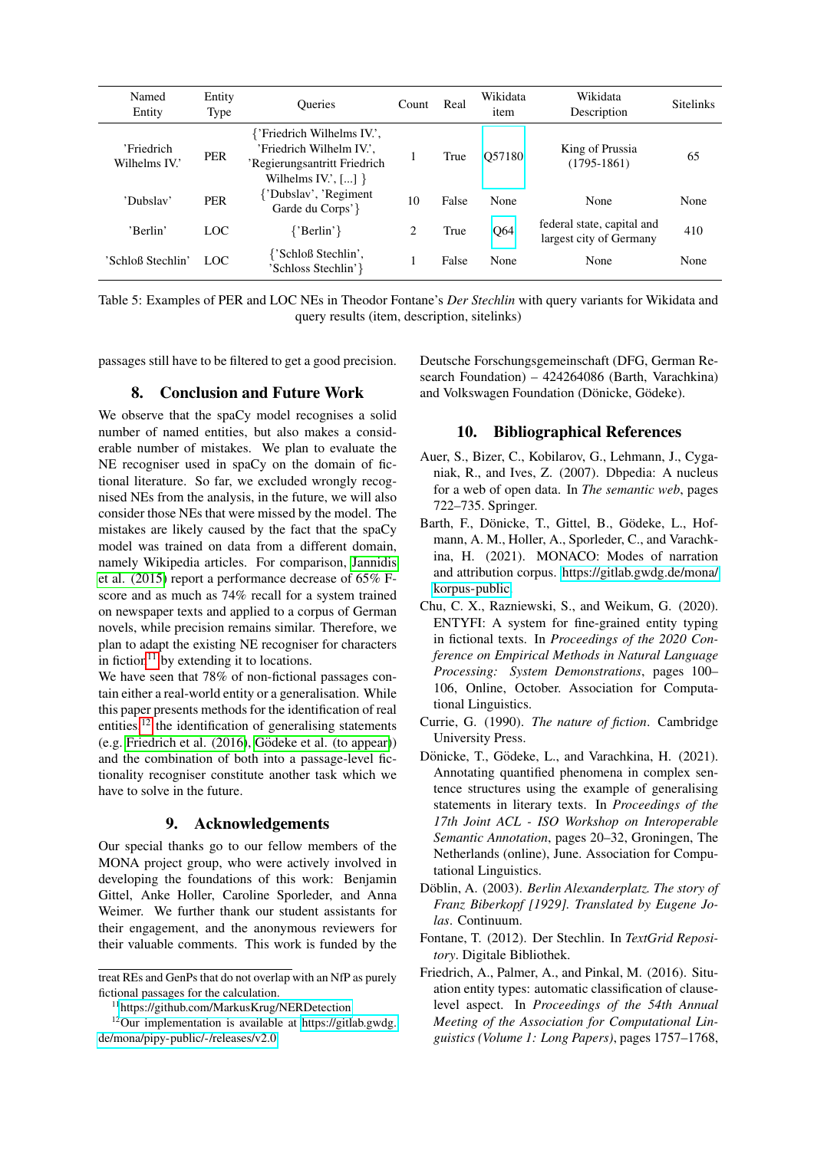| Named<br>Entity             | Entity<br>Type | <b>Oueries</b>                                                                                                  | Count | Real  | Wikidata<br>item | Wikidata<br>Description                               | <b>Sitelinks</b> |
|-----------------------------|----------------|-----------------------------------------------------------------------------------------------------------------|-------|-------|------------------|-------------------------------------------------------|------------------|
| 'Friedrich<br>Wilhelms IV.' | <b>PER</b>     | {'Friedrich Wilhelms IV.',<br>'Friedrich Wilhelm IV.',<br>'Regierungsantritt Friedrich<br>Wilhelms IV.', $[]$ } |       | True  | O57180           | King of Prussia<br>$(1795-1861)$                      | 65               |
| 'Dubslav'                   | <b>PER</b>     | {'Dubslav', 'Regiment'}<br>Garde du Corps'}                                                                     | 10    | False | None             | None                                                  | None             |
| 'Berlin'                    | LOC            | ${P\text{Berlin'}}$                                                                                             | 2     | True  | Q64              | federal state, capital and<br>largest city of Germany | 410              |
| 'Schloß Stechlin'           | LOC            | {'Schloß Stechlin',<br>'Schloss Stechlin'}                                                                      |       | False | None             | None                                                  | None             |

<span id="page-4-7"></span>Table 5: Examples of PER and LOC NEs in Theodor Fontane's *Der Stechlin* with query variants for Wikidata and query results (item, description, sitelinks)

passages still have to be filtered to get a good precision.

#### 8. Conclusion and Future Work

We observe that the spaCy model recognises a solid number of named entities, but also makes a considerable number of mistakes. We plan to evaluate the NE recogniser used in spaCy on the domain of fictional literature. So far, we excluded wrongly recognised NEs from the analysis, in the future, we will also consider those NEs that were missed by the model. The mistakes are likely caused by the fact that the spaCy model was trained on data from a different domain, namely Wikipedia articles. For comparison, [Jannidis](#page-5-13) [et al. \(2015\)](#page-5-13) report a performance decrease of 65% Fscore and as much as 74% recall for a system trained on newspaper texts and applied to a corpus of German novels, while precision remains similar. Therefore, we plan to adapt the existing NE recogniser for characters in fiction $11$  by extending it to locations.

We have seen that 78% of non-fictional passages contain either a real-world entity or a generalisation. While this paper presents methods for the identification of real entities, $12$  the identification of generalising statements (e.g. Friedrich et al.  $(2016)$ , Gödeke et al. (to appear)) and the combination of both into a passage-level fictionality recogniser constitute another task which we have to solve in the future.

#### 9. Acknowledgements

Our special thanks go to our fellow members of the MONA project group, who were actively involved in developing the foundations of this work: Benjamin Gittel, Anke Holler, Caroline Sporleder, and Anna Weimer. We further thank our student assistants for their engagement, and the anonymous reviewers for their valuable comments. This work is funded by the

Deutsche Forschungsgemeinschaft (DFG, German Research Foundation) – 424264086 (Barth, Varachkina) and Volkswagen Foundation (Dönicke, Gödeke).

#### 10. Bibliographical References

- <span id="page-4-5"></span>Auer, S., Bizer, C., Kobilarov, G., Lehmann, J., Cyganiak, R., and Ives, Z. (2007). Dbpedia: A nucleus for a web of open data. In *The semantic web*, pages 722–735. Springer.
- <span id="page-4-4"></span>Barth, F., Dönicke, T., Gittel, B., Gödeke, L., Hofmann, A. M., Holler, A., Sporleder, C., and Varachkina, H. (2021). MONACO: Modes of narration and attribution corpus. [https://gitlab.gwdg.de/mona/](https://gitlab.gwdg.de/mona/korpus-public) [korpus-public.](https://gitlab.gwdg.de/mona/korpus-public)
- <span id="page-4-0"></span>Chu, C. X., Razniewski, S., and Weikum, G. (2020). ENTYFI: A system for fine-grained entity typing in fictional texts. In *Proceedings of the 2020 Conference on Empirical Methods in Natural Language Processing: System Demonstrations*, pages 100– 106, Online, October. Association for Computational Linguistics.
- <span id="page-4-1"></span>Currie, G. (1990). *The nature of fiction*. Cambridge University Press.
- <span id="page-4-3"></span>Dönicke, T., Gödeke, L., and Varachkina, H. (2021). Annotating quantified phenomena in complex sentence structures using the example of generalising statements in literary texts. In *Proceedings of the 17th Joint ACL - ISO Workshop on Interoperable Semantic Annotation*, pages 20–32, Groningen, The Netherlands (online), June. Association for Computational Linguistics.
- <span id="page-4-2"></span>Döblin, A. (2003). *Berlin Alexanderplatz. The story of Franz Biberkopf [1929]. Translated by Eugene Jolas*. Continuum.
- <span id="page-4-6"></span>Fontane, T. (2012). Der Stechlin. In *TextGrid Repository*. Digitale Bibliothek.
- <span id="page-4-10"></span>Friedrich, A., Palmer, A., and Pinkal, M. (2016). Situation entity types: automatic classification of clauselevel aspect. In *Proceedings of the 54th Annual Meeting of the Association for Computational Linguistics (Volume 1: Long Papers)*, pages 1757–1768,

treat REs and GenPs that do not overlap with an NfP as purely fictional passages for the calculation.

<span id="page-4-9"></span><span id="page-4-8"></span><sup>11</sup><https://github.com/MarkusKrug/NERDetection>

 $12$ Our implementation is available at [https://gitlab.gwdg.](https://gitlab.gwdg.de/mona/pipy-public/-/releases/v2.0) [de/mona/pipy-public/-/releases/v2.0.](https://gitlab.gwdg.de/mona/pipy-public/-/releases/v2.0)